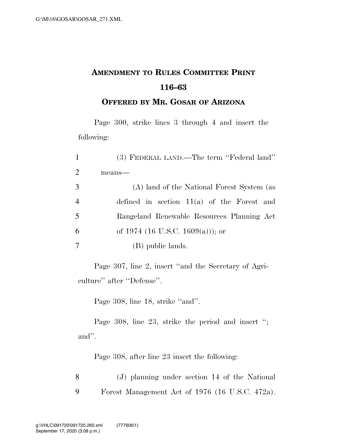## **AMENDMENT TO RULES COMMITTEE PRINT 116–63**

## **OFFERED BY MR. GOSAR OF ARIZONA**

Page 300, strike lines 3 through 4 and insert the following:

| $\mathbf{1}$   | (3) FEDERAL LAND.—The term "Federal land"    |
|----------------|----------------------------------------------|
| $\overline{2}$ | means-                                       |
| 3              | (A) land of the National Forest System (as   |
| $\overline{4}$ | defined in section $11(a)$ of the Forest and |
| 5              | Rangeland Renewable Resources Planning Act   |
| 6              | of 1974 (16 U.S.C. 1609(a))); or             |
| 7              | (B) public lands.                            |

Page 307, line 2, insert ''and the Secretary of Agriculture'' after ''Defense''.

Page 308, line 18, strike ''and''.

Page 308, line 23, strike the period and insert "; and''.

Page 308, after line 23 insert the following:

8 (J) planning under section 14 of the National 9 Forest Management Act of 1976 (16 U.S.C. 472a).